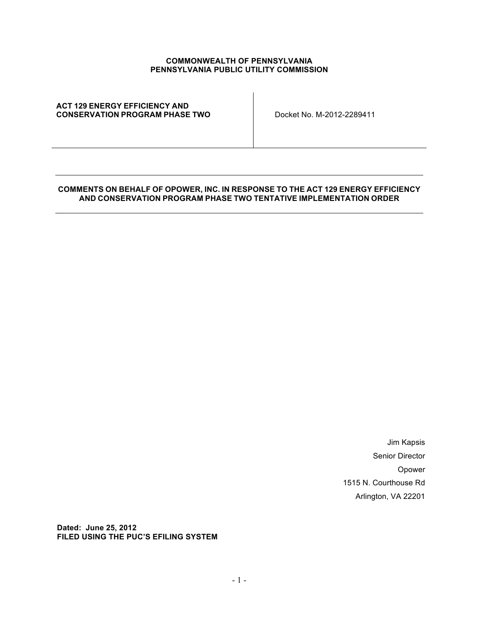#### **COMMONWEALTH OF PENNSYLVANIA PENNSYLVANIA PUBLIC UTILITY COMMISSION**

#### **ACT 129 ENERGY EFFICIENCY AND CONSERVATION PROGRAM PHASE TWO** Docket No. M-2012-2289411

#### **COMMENTS ON BEHALF OF OPOWER, INC. IN RESPONSE TO THE ACT 129 ENERGY EFFICIENCY AND CONSERVATION PROGRAM PHASE TWO TENTATIVE IMPLEMENTATION ORDER**

Jim Kapsis Senior Director Opower 1515 N. Courthouse Rd Arlington, VA 22201

**Dated: June 25, 2012 FILED USING THE PUC'S EFILING SYSTEM**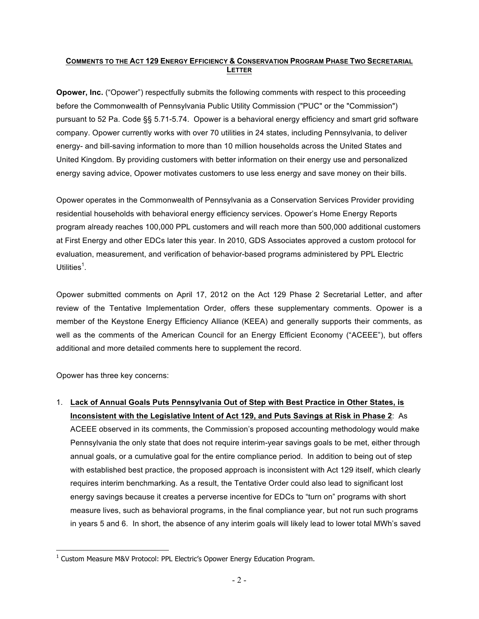### **COMMENTS TO THE ACT 129 ENERGY EFFICIENCY & CONSERVATION PROGRAM PHASE TWO SECRETARIAL LETTER**

**Opower, Inc.** ("Opower") respectfully submits the following comments with respect to this proceeding before the Commonwealth of Pennsylvania Public Utility Commission ("PUC" or the "Commission") pursuant to 52 Pa. Code §§ 5.71-5.74. Opower is a behavioral energy efficiency and smart grid software company. Opower currently works with over 70 utilities in 24 states, including Pennsylvania, to deliver energy- and bill-saving information to more than 10 million households across the United States and United Kingdom. By providing customers with better information on their energy use and personalized energy saving advice, Opower motivates customers to use less energy and save money on their bills.

Opower operates in the Commonwealth of Pennsylvania as a Conservation Services Provider providing residential households with behavioral energy efficiency services. Opower's Home Energy Reports program already reaches 100,000 PPL customers and will reach more than 500,000 additional customers at First Energy and other EDCs later this year. In 2010, GDS Associates approved a custom protocol for evaluation, measurement, and verification of behavior-based programs administered by PPL Electric Utilities $^1$ .

Opower submitted comments on April 17, 2012 on the Act 129 Phase 2 Secretarial Letter, and after review of the Tentative Implementation Order, offers these supplementary comments. Opower is a member of the Keystone Energy Efficiency Alliance (KEEA) and generally supports their comments, as well as the comments of the American Council for an Energy Efficient Economy ("ACEEE"), but offers additional and more detailed comments here to supplement the record.

Opower has three key concerns:

 

1. **Lack of Annual Goals Puts Pennsylvania Out of Step with Best Practice in Other States, is Inconsistent with the Legislative Intent of Act 129, and Puts Savings at Risk in Phase 2**: As ACEEE observed in its comments, the Commission's proposed accounting methodology would make Pennsylvania the only state that does not require interim-year savings goals to be met, either through annual goals, or a cumulative goal for the entire compliance period. In addition to being out of step with established best practice, the proposed approach is inconsistent with Act 129 itself, which clearly requires interim benchmarking. As a result, the Tentative Order could also lead to significant lost energy savings because it creates a perverse incentive for EDCs to "turn on" programs with short measure lives, such as behavioral programs, in the final compliance year, but not run such programs in years 5 and 6. In short, the absence of any interim goals will likely lead to lower total MWh's saved

 $1$  Custom Measure M&V Protocol: PPL Electric's Opower Energy Education Program.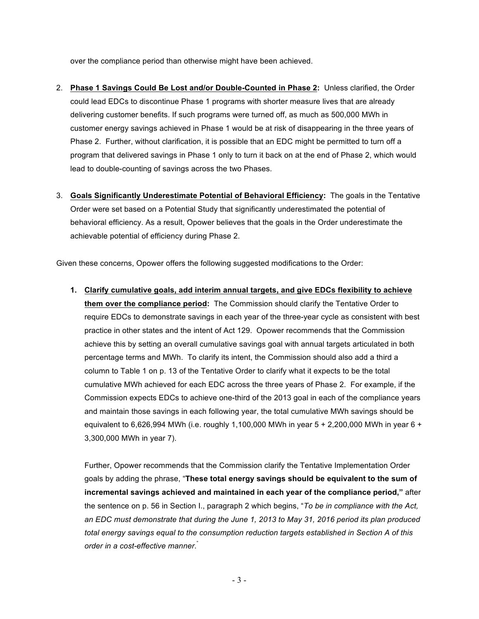over the compliance period than otherwise might have been achieved.

- 2. **Phase 1 Savings Could Be Lost and/or Double-Counted in Phase 2:** Unless clarified, the Order could lead EDCs to discontinue Phase 1 programs with shorter measure lives that are already delivering customer benefits. If such programs were turned off, as much as 500,000 MWh in customer energy savings achieved in Phase 1 would be at risk of disappearing in the three years of Phase 2. Further, without clarification, it is possible that an EDC might be permitted to turn off a program that delivered savings in Phase 1 only to turn it back on at the end of Phase 2, which would lead to double-counting of savings across the two Phases.
- 3. **Goals Significantly Underestimate Potential of Behavioral Efficiency:** The goals in the Tentative Order were set based on a Potential Study that significantly underestimated the potential of behavioral efficiency. As a result, Opower believes that the goals in the Order underestimate the achievable potential of efficiency during Phase 2.

Given these concerns, Opower offers the following suggested modifications to the Order:

**1. Clarify cumulative goals, add interim annual targets, and give EDCs flexibility to achieve them over the compliance period:** The Commission should clarify the Tentative Order to require EDCs to demonstrate savings in each year of the three-year cycle as consistent with best practice in other states and the intent of Act 129. Opower recommends that the Commission achieve this by setting an overall cumulative savings goal with annual targets articulated in both percentage terms and MWh. To clarify its intent, the Commission should also add a third a column to Table 1 on p. 13 of the Tentative Order to clarify what it expects to be the total cumulative MWh achieved for each EDC across the three years of Phase 2. For example, if the Commission expects EDCs to achieve one-third of the 2013 goal in each of the compliance years and maintain those savings in each following year, the total cumulative MWh savings should be equivalent to 6,626,994 MWh (i.e. roughly 1,100,000 MWh in year 5 + 2,200,000 MWh in year 6 + 3,300,000 MWh in year 7).

Further, Opower recommends that the Commission clarify the Tentative Implementation Order goals by adding the phrase, "**These total energy savings should be equivalent to the sum of incremental savings achieved and maintained in each year of the compliance period,"** after the sentence on p. 56 in Section I., paragraph 2 which begins, "*To be in compliance with the Act, an EDC must demonstrate that during the June 1, 2013 to May 31, 2016 period its plan produced total energy savings equal to the consumption reduction targets established in Section A of this order in a cost-effective manner*. "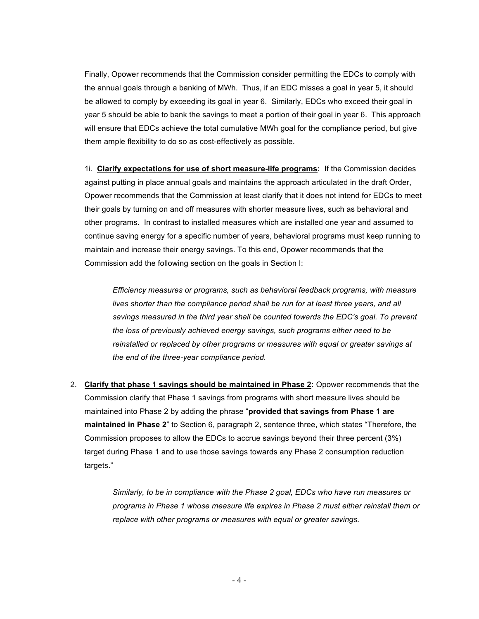Finally, Opower recommends that the Commission consider permitting the EDCs to comply with the annual goals through a banking of MWh. Thus, if an EDC misses a goal in year 5, it should be allowed to comply by exceeding its goal in year 6. Similarly, EDCs who exceed their goal in year 5 should be able to bank the savings to meet a portion of their goal in year 6. This approach will ensure that EDCs achieve the total cumulative MWh goal for the compliance period, but give them ample flexibility to do so as cost-effectively as possible.

1i. **Clarify expectations for use of short measure-life programs:** If the Commission decides against putting in place annual goals and maintains the approach articulated in the draft Order, Opower recommends that the Commission at least clarify that it does not intend for EDCs to meet their goals by turning on and off measures with shorter measure lives, such as behavioral and other programs. In contrast to installed measures which are installed one year and assumed to continue saving energy for a specific number of years, behavioral programs must keep running to maintain and increase their energy savings. To this end, Opower recommends that the Commission add the following section on the goals in Section I:

*Efficiency measures or programs, such as behavioral feedback programs, with measure lives shorter than the compliance period shall be run for at least three years, and all savings measured in the third year shall be counted towards the EDC's goal. To prevent the loss of previously achieved energy savings, such programs either need to be reinstalled or replaced by other programs or measures with equal or greater savings at the end of the three-year compliance period.* 

2. **Clarify that phase 1 savings should be maintained in Phase 2:** Opower recommends that the Commission clarify that Phase 1 savings from programs with short measure lives should be maintained into Phase 2 by adding the phrase "**provided that savings from Phase 1 are maintained in Phase 2**" to Section 6, paragraph 2, sentence three, which states "Therefore, the Commission proposes to allow the EDCs to accrue savings beyond their three percent (3%) target during Phase 1 and to use those savings towards any Phase 2 consumption reduction targets."

> *Similarly, to be in compliance with the Phase 2 goal, EDCs who have run measures or programs in Phase 1 whose measure life expires in Phase 2 must either reinstall them or replace with other programs or measures with equal or greater savings.*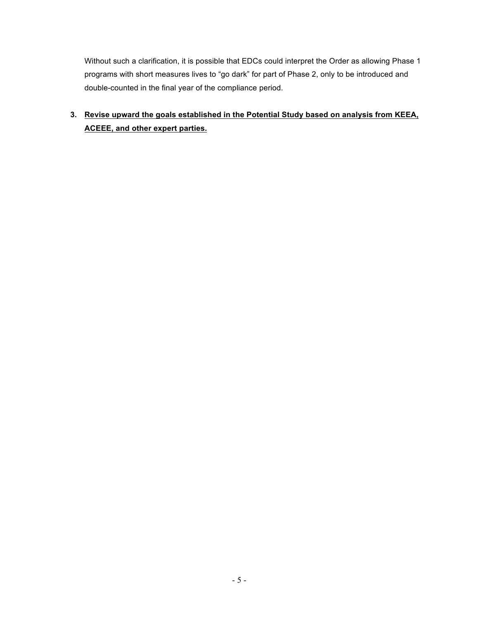Without such a clarification, it is possible that EDCs could interpret the Order as allowing Phase 1 programs with short measures lives to "go dark" for part of Phase 2, only to be introduced and double-counted in the final year of the compliance period.

**3. Revise upward the goals established in the Potential Study based on analysis from KEEA, ACEEE, and other expert parties.**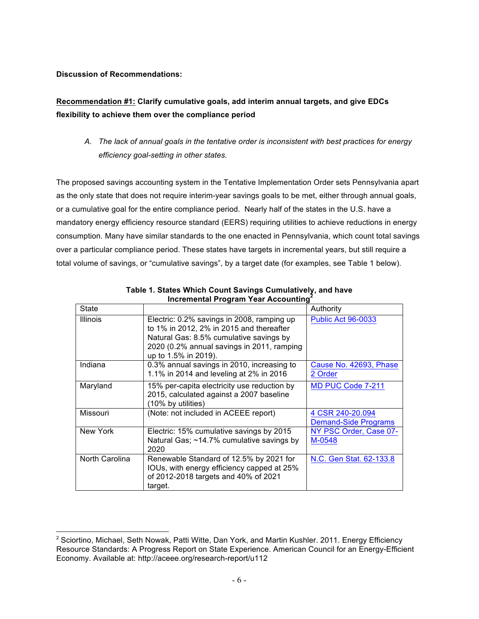### **Discussion of Recommendations:**

 

# **Recommendation #1: Clarify cumulative goals, add interim annual targets, and give EDCs flexibility to achieve them over the compliance period**

*A. The lack of annual goals in the tentative order is inconsistent with best practices for energy efficiency goal-setting in other states.* 

The proposed savings accounting system in the Tentative Implementation Order sets Pennsylvania apart as the only state that does not require interim-year savings goals to be met, either through annual goals, or a cumulative goal for the entire compliance period. Nearly half of the states in the U.S. have a mandatory energy efficiency resource standard (EERS) requiring utilities to achieve reductions in energy consumption. Many have similar standards to the one enacted in Pennsylvania, which count total savings over a particular compliance period. These states have targets in incremental years, but still require a total volume of savings, or "cumulative savings", by a target date (for examples, see Table 1 below).

| incremental Program Tear Accounting |                                                                                                                                                                                                         |                                                 |
|-------------------------------------|---------------------------------------------------------------------------------------------------------------------------------------------------------------------------------------------------------|-------------------------------------------------|
| State                               |                                                                                                                                                                                                         | Authority                                       |
| <b>Illinois</b>                     | Electric: 0.2% savings in 2008, ramping up<br>to 1% in 2012, 2% in 2015 and thereafter<br>Natural Gas: 8.5% cumulative savings by<br>2020 (0.2% annual savings in 2011, ramping<br>up to 1.5% in 2019). | <b>Public Act 96-0033</b>                       |
| Indiana                             | 0.3% annual savings in 2010, increasing to<br>1.1% in 2014 and leveling at 2% in 2016                                                                                                                   | Cause No. 42693, Phase<br>2 Order               |
| Maryland                            | 15% per-capita electricity use reduction by<br>2015, calculated against a 2007 baseline<br>(10% by utilities)                                                                                           | MD PUC Code 7-211                               |
| Missouri                            | (Note: not included in ACEEE report)                                                                                                                                                                    | 4 CSR 240-20.094<br><b>Demand-Side Programs</b> |
| New York                            | Electric: 15% cumulative savings by 2015<br>Natural Gas; ~14.7% cumulative savings by<br>2020                                                                                                           | NY PSC Order, Case 07-<br>M-0548                |
| North Carolina                      | Renewable Standard of 12.5% by 2021 for<br>IOUs, with energy efficiency capped at 25%<br>of 2012-2018 targets and 40% of 2021<br>target.                                                                | N.C. Gen Stat. 62-133.8                         |

**Table 1. States Which Count Savings Cumulatively, and have Incremental Program Year Accounting<sup>2</sup>**

<sup>&</sup>lt;sup>2</sup> Sciortino, Michael, Seth Nowak, Patti Witte, Dan York, and Martin Kushler. 2011. Energy Efficiency Resource Standards: A Progress Report on State Experience. American Council for an Energy-Efficient Economy. Available at: http://aceee.org/research-report/u112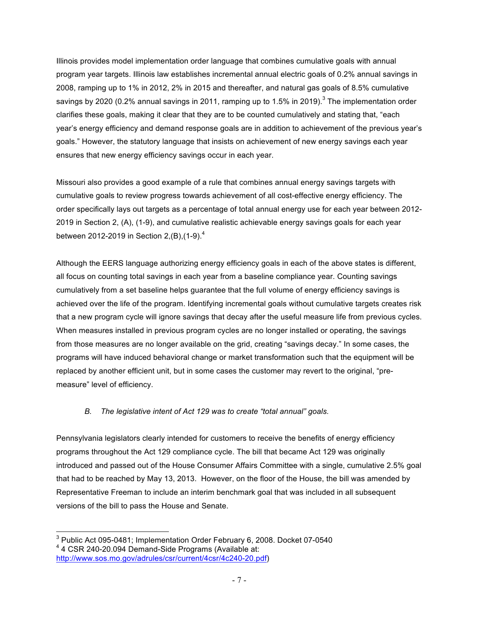Illinois provides model implementation order language that combines cumulative goals with annual program year targets. Illinois law establishes incremental annual electric goals of 0.2% annual savings in 2008, ramping up to 1% in 2012, 2% in 2015 and thereafter, and natural gas goals of 8.5% cumulative savings by 2020 (0.2% annual savings in 2011, ramping up to 1.5% in 2019).<sup>3</sup> The implementation order clarifies these goals, making it clear that they are to be counted cumulatively and stating that, "each year's energy efficiency and demand response goals are in addition to achievement of the previous year's goals." However, the statutory language that insists on achievement of new energy savings each year ensures that new energy efficiency savings occur in each year.

Missouri also provides a good example of a rule that combines annual energy savings targets with cumulative goals to review progress towards achievement of all cost-effective energy efficiency. The order specifically lays out targets as a percentage of total annual energy use for each year between 2012- 2019 in Section 2, (A), (1-9), and cumulative realistic achievable energy savings goals for each year between 2012-2019 in Section 2, (B),  $(1-9)^4$ 

Although the EERS language authorizing energy efficiency goals in each of the above states is different, all focus on counting total savings in each year from a baseline compliance year. Counting savings cumulatively from a set baseline helps guarantee that the full volume of energy efficiency savings is achieved over the life of the program. Identifying incremental goals without cumulative targets creates risk that a new program cycle will ignore savings that decay after the useful measure life from previous cycles. When measures installed in previous program cycles are no longer installed or operating, the savings from those measures are no longer available on the grid, creating "savings decay." In some cases, the programs will have induced behavioral change or market transformation such that the equipment will be replaced by another efficient unit, but in some cases the customer may revert to the original, "premeasure" level of efficiency.

## *B. The legislative intent of Act 129 was to create "total annual" goals.*

Pennsylvania legislators clearly intended for customers to receive the benefits of energy efficiency programs throughout the Act 129 compliance cycle. The bill that became Act 129 was originally introduced and passed out of the House Consumer Affairs Committee with a single, cumulative 2.5% goal that had to be reached by May 13, 2013. However, on the floor of the House, the bill was amended by Representative Freeman to include an interim benchmark goal that was included in all subsequent versions of the bill to pass the House and Senate.

 <sup>3</sup> Public Act 095-0481; Implementation Order February 6, 2008. Docket 07-0540 <sup>4</sup> 4 CSR 240-20.094 Demand-Side Programs (Available at: http://www.sos.mo.gov/adrules/csr/current/4csr/4c240-20.pdf)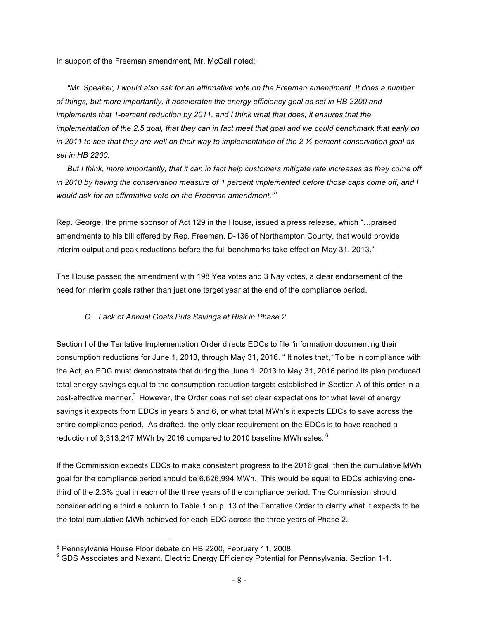In support of the Freeman amendment, Mr. McCall noted:

 *"Mr. Speaker, I would also ask for an affirmative vote on the Freeman amendment. It does a number of things, but more importantly, it accelerates the energy efficiency goal as set in HB 2200 and implements that 1-percent reduction by 2011, and I think what that does, it ensures that the implementation of the 2.5 goal, that they can in fact meet that goal and we could benchmark that early on in 2011 to see that they are well on their way to implementation of the 2 ½-percent conservation goal as set in HB 2200.* 

 *But I think, more importantly, that it can in fact help customers mitigate rate increases as they come off in 2010 by having the conservation measure of 1 percent implemented before those caps come off, and I would ask for an affirmative vote on the Freeman amendment."<sup>5</sup>*

Rep. George, the prime sponsor of Act 129 in the House, issued a press release, which "…praised amendments to his bill offered by Rep. Freeman, D-136 of Northampton County, that would provide interim output and peak reductions before the full benchmarks take effect on May 31, 2013."

The House passed the amendment with 198 Yea votes and 3 Nay votes, a clear endorsement of the need for interim goals rather than just one target year at the end of the compliance period.

#### *C. Lack of Annual Goals Puts Savings at Risk in Phase 2*

Section I of the Tentative Implementation Order directs EDCs to file "information documenting their consumption reductions for June 1, 2013, through May 31, 2016. " It notes that, "To be in compliance with the Act, an EDC must demonstrate that during the June 1, 2013 to May 31, 2016 period its plan produced total energy savings equal to the consumption reduction targets established in Section A of this order in a cost-effective manner.<sup>"</sup> However, the Order does not set clear expectations for what level of energy savings it expects from EDCs in years 5 and 6, or what total MWh's it expects EDCs to save across the entire compliance period. As drafted, the only clear requirement on the EDCs is to have reached a reduction of 3,313,247 MWh by 2016 compared to 2010 baseline MWh sales.<sup>6</sup>

If the Commission expects EDCs to make consistent progress to the 2016 goal, then the cumulative MWh goal for the compliance period should be 6,626,994 MWh. This would be equal to EDCs achieving onethird of the 2.3% goal in each of the three years of the compliance period. The Commission should consider adding a third a column to Table 1 on p. 13 of the Tentative Order to clarify what it expects to be the total cumulative MWh achieved for each EDC across the three years of Phase 2.

 

<sup>5</sup> Pennsylvania House Floor debate on HB 2200, February 11, 2008.

<sup>6</sup> GDS Associates and Nexant. Electric Energy Efficiency Potential for Pennsylvania. Section 1-1.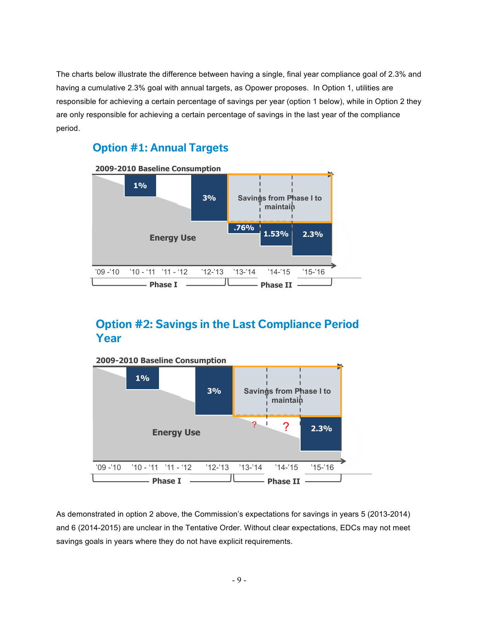The charts below illustrate the difference between having a single, final year compliance goal of 2.3% and having a cumulative 2.3% goal with annual targets, as Opower proposes. In Option 1, utilities are responsible for achieving a certain percentage of savings per year (option 1 below), while in Option 2 they are only responsible for achieving a certain percentage of savings in the last year of the compliance period.

# **Option #1: Annual Targets**



# **Option #2: Savings in the Last Compliance Period Year**



As demonstrated in option 2 above, the Commission's expectations for savings in years 5 (2013-2014) and 6 (2014-2015) are unclear in the Tentative Order. Without clear expectations, EDCs may not meet savings goals in years where they do not have explicit requirements.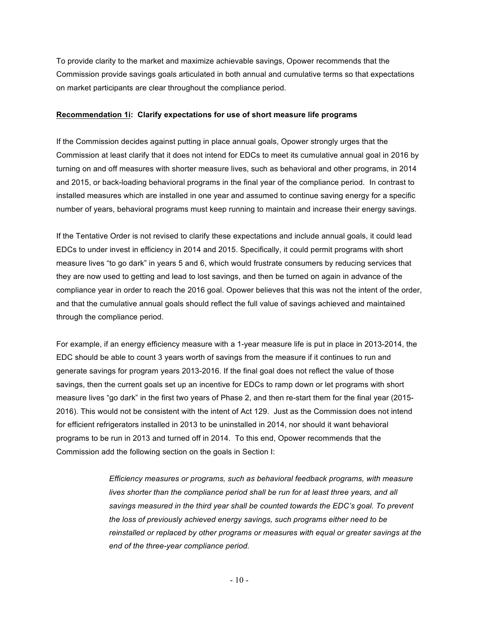To provide clarity to the market and maximize achievable savings, Opower recommends that the Commission provide savings goals articulated in both annual and cumulative terms so that expectations on market participants are clear throughout the compliance period.

#### **Recommendation 1i: Clarify expectations for use of short measure life programs**

If the Commission decides against putting in place annual goals, Opower strongly urges that the Commission at least clarify that it does not intend for EDCs to meet its cumulative annual goal in 2016 by turning on and off measures with shorter measure lives, such as behavioral and other programs, in 2014 and 2015, or back-loading behavioral programs in the final year of the compliance period. In contrast to installed measures which are installed in one year and assumed to continue saving energy for a specific number of years, behavioral programs must keep running to maintain and increase their energy savings.

If the Tentative Order is not revised to clarify these expectations and include annual goals, it could lead EDCs to under invest in efficiency in 2014 and 2015. Specifically, it could permit programs with short measure lives "to go dark" in years 5 and 6, which would frustrate consumers by reducing services that they are now used to getting and lead to lost savings, and then be turned on again in advance of the compliance year in order to reach the 2016 goal. Opower believes that this was not the intent of the order, and that the cumulative annual goals should reflect the full value of savings achieved and maintained through the compliance period.

For example, if an energy efficiency measure with a 1-year measure life is put in place in 2013-2014, the EDC should be able to count 3 years worth of savings from the measure if it continues to run and generate savings for program years 2013-2016. If the final goal does not reflect the value of those savings, then the current goals set up an incentive for EDCs to ramp down or let programs with short measure lives "go dark" in the first two years of Phase 2, and then re-start them for the final year (2015- 2016). This would not be consistent with the intent of Act 129. Just as the Commission does not intend for efficient refrigerators installed in 2013 to be uninstalled in 2014, nor should it want behavioral programs to be run in 2013 and turned off in 2014. To this end, Opower recommends that the Commission add the following section on the goals in Section I:

> *Efficiency measures or programs, such as behavioral feedback programs, with measure lives shorter than the compliance period shall be run for at least three years, and all savings measured in the third year shall be counted towards the EDC's goal. To prevent the loss of previously achieved energy savings, such programs either need to be reinstalled or replaced by other programs or measures with equal or greater savings at the end of the three-year compliance period.*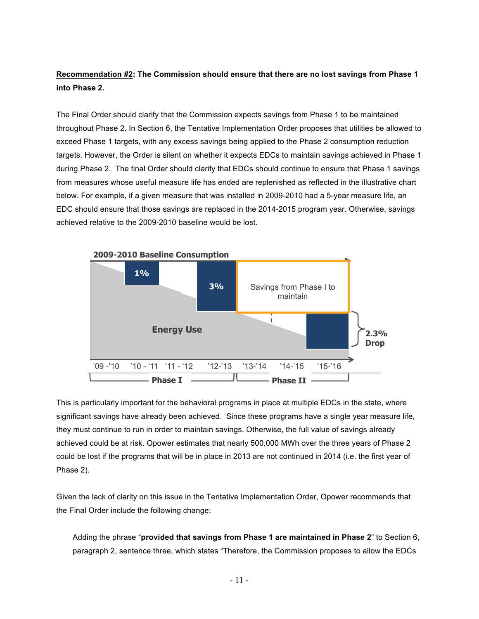# **Recommendation #2: The Commission should ensure that there are no lost savings from Phase 1 into Phase 2.**

The Final Order should clarify that the Commission expects savings from Phase 1 to be maintained throughout Phase 2. In Section 6, the Tentative Implementation Order proposes that utilities be allowed to exceed Phase 1 targets, with any excess savings being applied to the Phase 2 consumption reduction targets. However, the Order is silent on whether it expects EDCs to maintain savings achieved in Phase 1 during Phase 2. The final Order should clarify that EDCs should continue to ensure that Phase 1 savings **matured** from measures whose useful measure life has ended are replenished as reflected in the illustrative chart below. For example, if a given measure that was installed in 2009-2010 had a 5-year measure life, an EDC should ensure that those savings are replaced in the 2014-2015 program year. Otherwise, savings achieved relative to the 2009-2010 baseline would be lost.



This is particularly important for the behavioral programs in place at multiple EDCs in the state, where significant savings have already been achieved. Since these programs have a single year measure life, they must continue to run in order to maintain savings. Otherwise, the full value of savings already achieved could be at risk. Opower estimates that nearly 500,000 MWh over the three years of Phase 2 could be lost if the programs that will be in place in 2013 are not continued in 2014 (i.e. the first year of Phase 2).

Given the lack of clarity on this issue in the Tentative Implementation Order, Opower recommends that the Final Order include the following change:

Adding the phrase "**provided that savings from Phase 1 are maintained in Phase 2**" to Section 6, paragraph 2, sentence three, which states "Therefore, the Commission proposes to allow the EDCs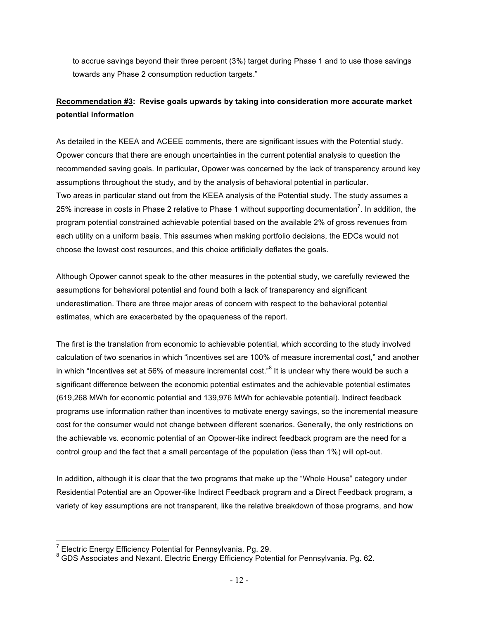to accrue savings beyond their three percent (3%) target during Phase 1 and to use those savings towards any Phase 2 consumption reduction targets."

# **Recommendation #3: Revise goals upwards by taking into consideration more accurate market potential information**

As detailed in the KEEA and ACEEE comments, there are significant issues with the Potential study. Opower concurs that there are enough uncertainties in the current potential analysis to question the recommended saving goals. In particular, Opower was concerned by the lack of transparency around key assumptions throughout the study, and by the analysis of behavioral potential in particular. Two areas in particular stand out from the KEEA analysis of the Potential study. The study assumes a 25% increase in costs in Phase 2 relative to Phase 1 without supporting documentation<sup>7</sup>. In addition, the program potential constrained achievable potential based on the available 2% of gross revenues from each utility on a uniform basis. This assumes when making portfolio decisions, the EDCs would not choose the lowest cost resources, and this choice artificially deflates the goals.

Although Opower cannot speak to the other measures in the potential study, we carefully reviewed the assumptions for behavioral potential and found both a lack of transparency and significant underestimation. There are three major areas of concern with respect to the behavioral potential estimates, which are exacerbated by the opaqueness of the report.

The first is the translation from economic to achievable potential, which according to the study involved calculation of two scenarios in which "incentives set are 100% of measure incremental cost," and another in which "Incentives set at 56% of measure incremental cost."<sup>8</sup> It is unclear why there would be such a significant difference between the economic potential estimates and the achievable potential estimates (619,268 MWh for economic potential and 139,976 MWh for achievable potential). Indirect feedback programs use information rather than incentives to motivate energy savings, so the incremental measure cost for the consumer would not change between different scenarios. Generally, the only restrictions on the achievable vs. economic potential of an Opower-like indirect feedback program are the need for a control group and the fact that a small percentage of the population (less than 1%) will opt-out.

In addition, although it is clear that the two programs that make up the "Whole House" category under Residential Potential are an Opower-like Indirect Feedback program and a Direct Feedback program, a variety of key assumptions are not transparent, like the relative breakdown of those programs, and how

<sup>&</sup>lt;sup>7</sup> Electric Energy Efficiency Potential for Pennsylvania. Pg. 29.<br><sup>8</sup> GDS Associates and Nexant. Electric Energy Efficiency Potential for Pennsylvania. Pg. 62.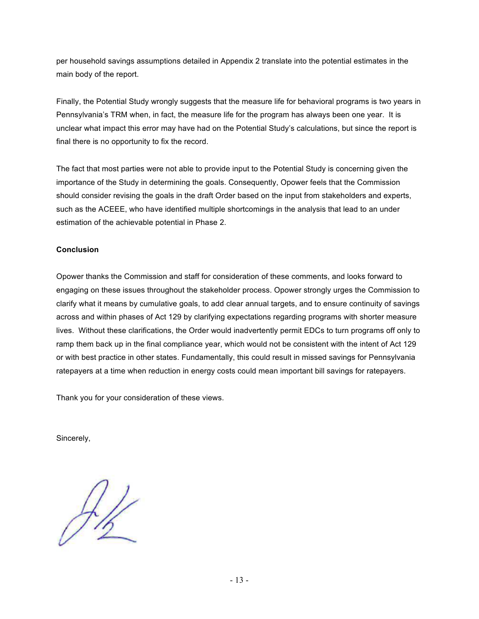per household savings assumptions detailed in Appendix 2 translate into the potential estimates in the main body of the report.

Finally, the Potential Study wrongly suggests that the measure life for behavioral programs is two years in Pennsylvania's TRM when, in fact, the measure life for the program has always been one year. It is unclear what impact this error may have had on the Potential Study's calculations, but since the report is final there is no opportunity to fix the record.

The fact that most parties were not able to provide input to the Potential Study is concerning given the importance of the Study in determining the goals. Consequently, Opower feels that the Commission should consider revising the goals in the draft Order based on the input from stakeholders and experts, such as the ACEEE, who have identified multiple shortcomings in the analysis that lead to an under estimation of the achievable potential in Phase 2.

## **Conclusion**

Opower thanks the Commission and staff for consideration of these comments, and looks forward to engaging on these issues throughout the stakeholder process. Opower strongly urges the Commission to clarify what it means by cumulative goals, to add clear annual targets, and to ensure continuity of savings across and within phases of Act 129 by clarifying expectations regarding programs with shorter measure lives. Without these clarifications, the Order would inadvertently permit EDCs to turn programs off only to ramp them back up in the final compliance year, which would not be consistent with the intent of Act 129 or with best practice in other states. Fundamentally, this could result in missed savings for Pennsylvania ratepayers at a time when reduction in energy costs could mean important bill savings for ratepayers.

Thank you for your consideration of these views.

Sincerely,

 $H_{\!\!\scriptscriptstyle\beta}$